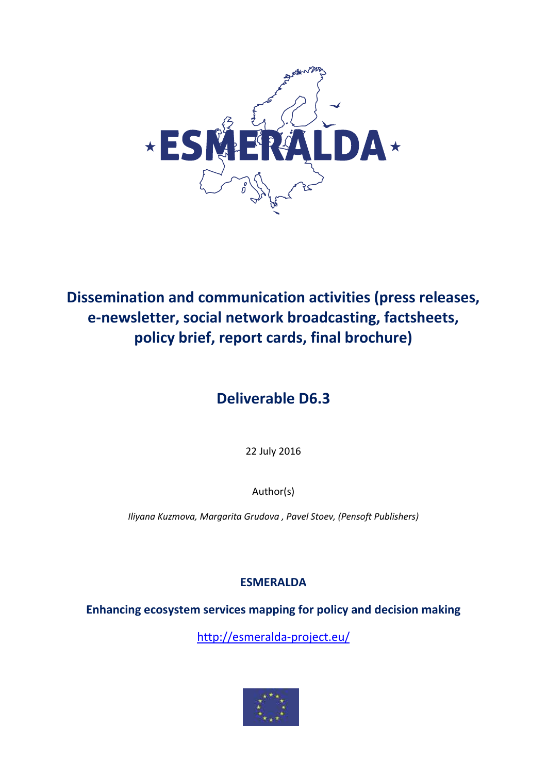

# **Dissemination and communication activities (press releases, e-newsletter, social network broadcasting, factsheets, policy brief, report cards, final brochure)**

# **Deliverable D6.3**

22 July 2016

Author(s)

*Iliyana Kuzmova, Margarita Grudova , Pavel Stoev, (Pensoft Publishers)*

# **ESMERALDA**

**Enhancing ecosystem services mapping for policy and decision making**

<http://esmeralda-project.eu/>

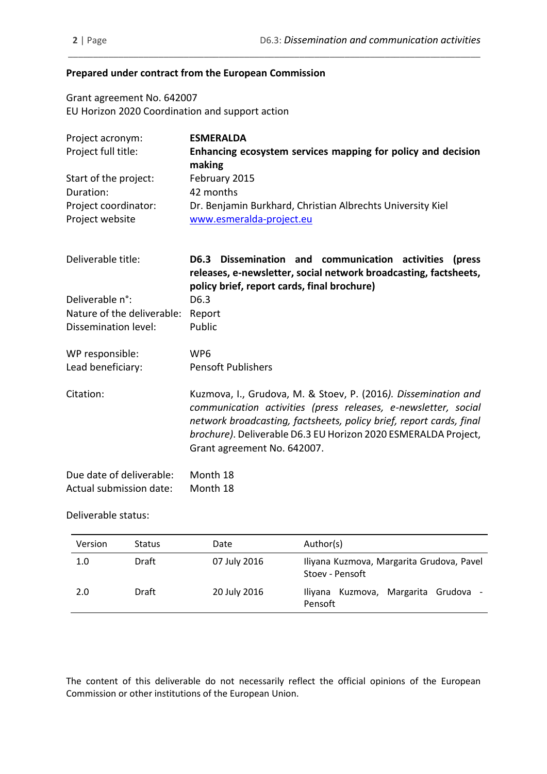#### **Prepared under contract from the European Commission**

Grant agreement No. 642007 EU Horizon 2020 Coordination and support action

| Project acronym:                        | <b>ESMERALDA</b>                                                                       |
|-----------------------------------------|----------------------------------------------------------------------------------------|
| Project full title:                     | Enhancing ecosystem services mapping for policy and decision<br>making                 |
| Start of the project:                   | February 2015                                                                          |
| Duration:                               | 42 months                                                                              |
| Project coordinator:<br>Project website | Dr. Benjamin Burkhard, Christian Albrechts University Kiel<br>www.esmeralda-project.eu |

\_\_\_\_\_\_\_\_\_\_\_\_\_\_\_\_\_\_\_\_\_\_\_\_\_\_\_\_\_\_\_\_\_\_\_\_\_\_\_\_\_\_\_\_\_\_\_\_\_\_\_\_\_\_\_\_\_\_\_\_\_\_\_\_\_\_\_\_\_\_\_\_\_\_\_\_\_\_\_\_\_\_

| Deliverable title:           | D6.3 Dissemination and communication activities<br>(press<br>releases, e-newsletter, social network broadcasting, factsheets,<br>policy brief, report cards, final brochure)                                                                                                                             |
|------------------------------|----------------------------------------------------------------------------------------------------------------------------------------------------------------------------------------------------------------------------------------------------------------------------------------------------------|
| Deliverable n <sup>o</sup> : | D <sub>6.3</sub>                                                                                                                                                                                                                                                                                         |
| Nature of the deliverable:   | Report                                                                                                                                                                                                                                                                                                   |
| Dissemination level:         | Public                                                                                                                                                                                                                                                                                                   |
| WP responsible:              | WP6                                                                                                                                                                                                                                                                                                      |
| Lead beneficiary:            | <b>Pensoft Publishers</b>                                                                                                                                                                                                                                                                                |
| Citation:                    | Kuzmova, I., Grudova, M. & Stoev, P. (2016). Dissemination and<br>communication activities (press releases, e-newsletter, social<br>network broadcasting, factsheets, policy brief, report cards, final<br>brochure). Deliverable D6.3 EU Horizon 2020 ESMERALDA Project,<br>Grant agreement No. 642007. |

| Due date of deliverable: | Month 18 |
|--------------------------|----------|
| Actual submission date:  | Month 18 |

#### Deliverable status:

| Version | <b>Status</b> | Date         | Author(s)                                                    |  |  |
|---------|---------------|--------------|--------------------------------------------------------------|--|--|
| 1.0     | Draft         | 07 July 2016 | Iliyana Kuzmova, Margarita Grudova, Pavel<br>Stoev - Pensoft |  |  |
| 2.0     | Draft         | 20 July 2016 | Kuzmova, Margarita Grudova -<br>llivana<br>Pensoft           |  |  |

The content of this deliverable do not necessarily reflect the official opinions of the European Commission or other institutions of the European Union.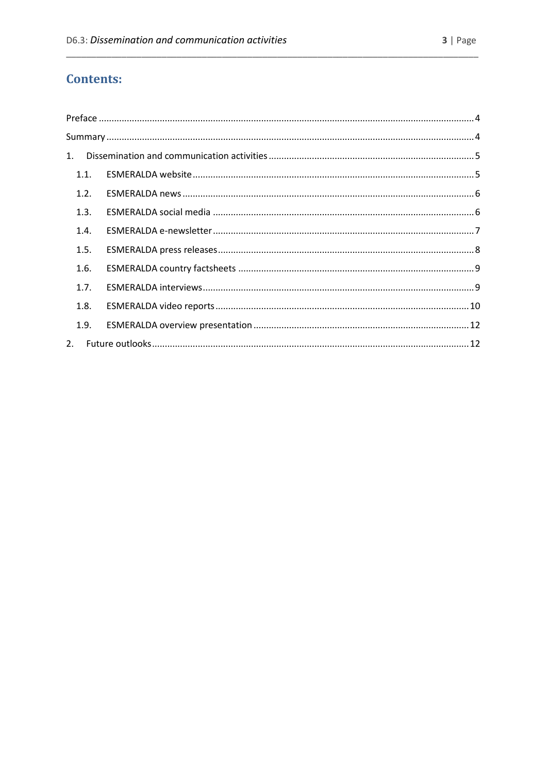# **Contents:**

| 1.   |  |
|------|--|
| 1.1. |  |
| 1.2. |  |
| 1.3. |  |
| 1.4. |  |
| 1.5. |  |
| 1.6. |  |
| 1.7. |  |
| 1.8. |  |
| 1.9. |  |
| 2.   |  |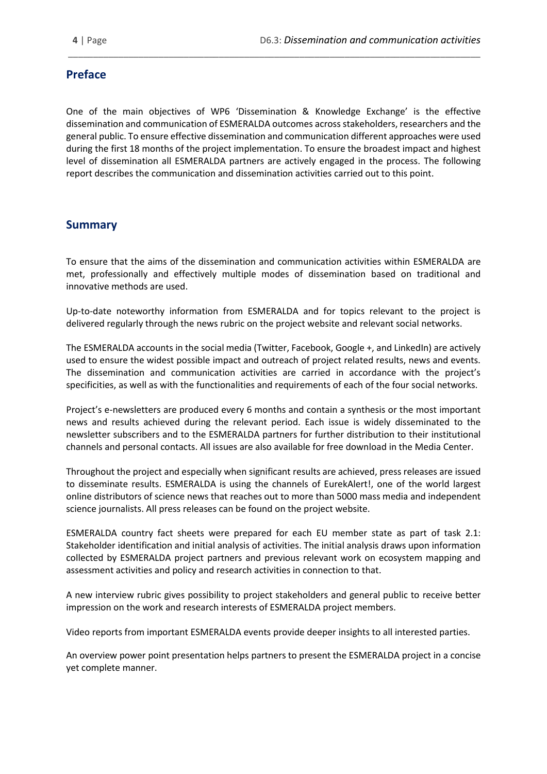# <span id="page-3-0"></span>**Preface**

One of the main objectives of WP6 'Dissemination & Knowledge Exchange' is the effective dissemination and communication of ESMERALDA outcomes across stakeholders, researchers and the general public. To ensure effective dissemination and communication different approaches were used during the first 18 months of the project implementation. To ensure the broadest impact and highest level of dissemination all ESMERALDA partners are actively engaged in the process. The following report describes the communication and dissemination activities carried out to this point.

\_\_\_\_\_\_\_\_\_\_\_\_\_\_\_\_\_\_\_\_\_\_\_\_\_\_\_\_\_\_\_\_\_\_\_\_\_\_\_\_\_\_\_\_\_\_\_\_\_\_\_\_\_\_\_\_\_\_\_\_\_\_\_\_\_\_\_\_\_\_\_\_\_\_\_\_\_\_\_\_\_\_

### <span id="page-3-1"></span>**Summary**

To ensure that the aims of the dissemination and communication activities within ESMERALDA are met, professionally and effectively multiple modes of dissemination based on traditional and innovative methods are used.

Up-to-date noteworthy information from ESMERALDA and for topics relevant to the project is delivered regularly through the news rubric on the project website and relevant social networks.

The ESMERALDA accounts in the social media (Twitter, Facebook, Google +, and LinkedIn) are actively used to ensure the widest possible impact and outreach of project related results, news and events. The dissemination and communication activities are carried in accordance with the project's specificities, as well as with the functionalities and requirements of each of the four social networks.

Project's e-newsletters are produced every 6 months and contain a synthesis or the most important news and results achieved during the relevant period. Each issue is widely disseminated to the newsletter subscribers and to the ESMERALDA partners for further distribution to their institutional channels and personal contacts. All issues are also available for free download in the Media Center.

Throughout the project and especially when significant results are achieved, press releases are issued to disseminate results. ESMERALDA is using the channels of EurekAlert!, one of the world largest online distributors of science news that reaches out to more than 5000 mass media and independent science journalists. All press releases can be found on the project website.

ESMERALDA country fact sheets were prepared for each EU member state as part of task 2.1: Stakeholder identification and initial analysis of activities. The initial analysis draws upon information collected by ESMERALDA project partners and previous relevant work on ecosystem mapping and assessment activities and policy and research activities in connection to that.

A new interview rubric gives possibility to project stakeholders and general public to receive better impression on the work and research interests of ESMERALDA project members.

Video reports from important ESMERALDA events provide deeper insights to all interested parties.

An overview power point presentation helps partners to present the ESMERALDA project in a concise yet complete manner.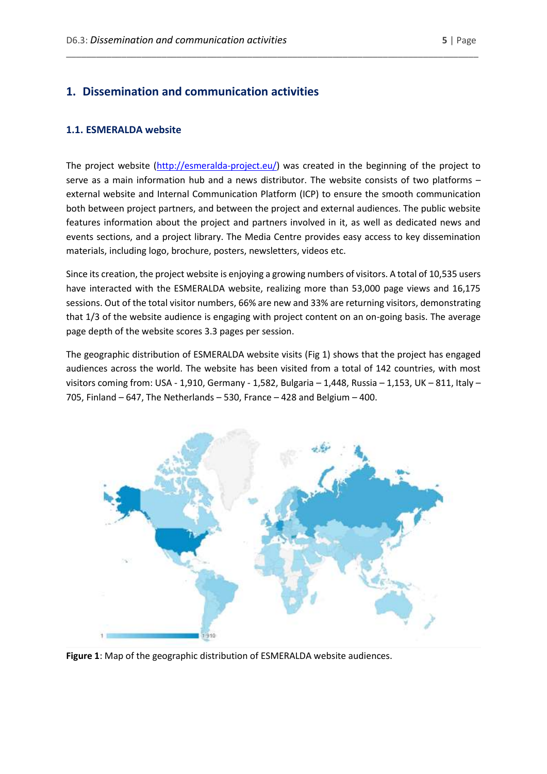# <span id="page-4-0"></span>**1. Dissemination and communication activities**

#### <span id="page-4-1"></span>**1.1. ESMERALDA website**

The project website [\(http://esmeralda-project.eu/\)](http://esmeralda-project.eu/) was created in the beginning of the project to serve as a main information hub and a news distributor. The website consists of two platforms – external website and Internal Communication Platform (ICP) to ensure the smooth communication both between project partners, and between the project and external audiences. The public website features information about the project and partners involved in it, as well as dedicated news and events sections, and a project library. The Media Centre provides easy access to key dissemination materials, including logo, brochure, posters, newsletters, videos etc.

\_\_\_\_\_\_\_\_\_\_\_\_\_\_\_\_\_\_\_\_\_\_\_\_\_\_\_\_\_\_\_\_\_\_\_\_\_\_\_\_\_\_\_\_\_\_\_\_\_\_\_\_\_\_\_\_\_\_\_\_\_\_\_\_\_\_\_\_\_\_\_\_\_\_\_\_\_\_\_\_\_\_

Since its creation, the project website is enjoying a growing numbers of visitors. A total of 10,535 users have interacted with the ESMERALDA website, realizing more than 53,000 page views and 16,175 sessions. Out of the total visitor numbers, 66% are new and 33% are returning visitors, demonstrating that 1/3 of the website audience is engaging with project content on an on-going basis. The average page depth of the website scores 3.3 pages per session.

The geographic distribution of ESMERALDA website visits (Fig 1) shows that the project has engaged audiences across the world. The website has been visited from a total of 142 countries, with most visitors coming from: USA - 1,910, Germany - 1,582, Bulgaria – 1,448, Russia – 1,153, UK – 811, Italy – 705, Finland – 647, The Netherlands – 530, France – 428 and Belgium – 400.



**Figure 1**: Map of the geographic distribution of ESMERALDA website audiences.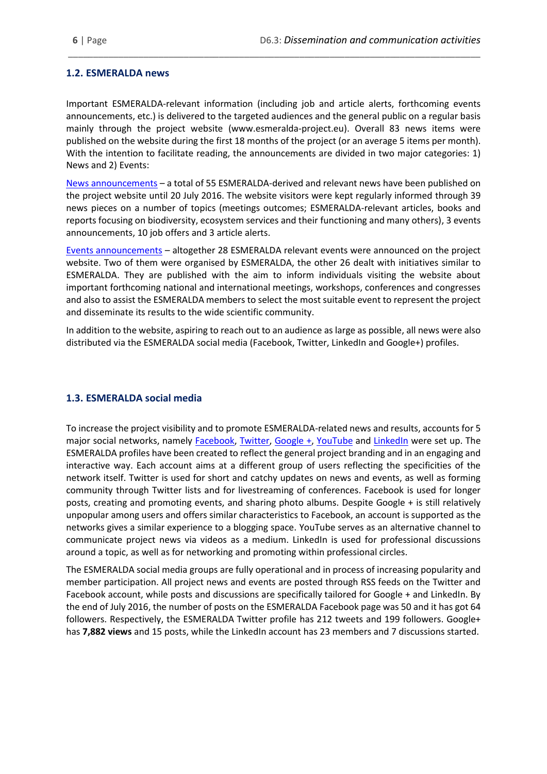#### <span id="page-5-0"></span>**1.2. ESMERALDA news**

Important ESMERALDA-relevant information (including job and article alerts, forthcoming events announcements, etc.) is delivered to the targeted audiences and the general public on a regular basis mainly through the project website (www.esmeralda-project.eu). Overall 83 news items were published on the website during the first 18 months of the project (or an average 5 items per month). With the intention to facilitate reading, the announcements are divided in two major categories: 1) News and 2) Events:

\_\_\_\_\_\_\_\_\_\_\_\_\_\_\_\_\_\_\_\_\_\_\_\_\_\_\_\_\_\_\_\_\_\_\_\_\_\_\_\_\_\_\_\_\_\_\_\_\_\_\_\_\_\_\_\_\_\_\_\_\_\_\_\_\_\_\_\_\_\_\_\_\_\_\_\_\_\_\_\_\_\_

[News announcements](http://www.esmeralda-project.eu/news/) – a total of 55 ESMERALDA-derived and relevant news have been published on the project website until 20 July 2016. The website visitors were kept regularly informed through 39 news pieces on a number of topics (meetings outcomes; ESMERALDA-relevant articles, books and reports focusing on biodiversity, ecosystem services and their functioning and many others), 3 events announcements, 10 job offers and 3 article alerts.

[Events announcements](http://www.esmeralda-project.eu/events/) – altogether 28 ESMERALDA relevant events were announced on the project website. Two of them were organised by ESMERALDA, the other 26 dealt with initiatives similar to ESMERALDA. They are published with the aim to inform individuals visiting the website about important forthcoming national and international meetings, workshops, conferences and congresses and also to assist the ESMERALDA members to select the most suitable event to represent the project and disseminate its results to the wide scientific community.

In addition to the website, aspiring to reach out to an audience as large as possible, all news were also distributed via the ESMERALDA social media (Facebook, Twitter, LinkedIn and Google+) profiles.

#### <span id="page-5-1"></span>**1.3. ESMERALDA social media**

To increase the project visibility and to promote ESMERALDA-related news and results, accounts for 5 major social networks, namely [Facebook,](https://www.facebook.com/esmeraldaeu) [Twitter,](https://twitter.com/ESMERALDA_H2020) [Google +,](https://plus.google.com/u/0/106678032426660504247/posts) [YouTube](https://www.youtube.com/channel/UCYccq43qlhz_-5LRyWblpSA) and [LinkedIn](https://www.linkedin.com/uas/login?session_redirect=https%3A%2F%2Fwww.linkedin.com%2Fgroups%2F6955245) were set up. The ESMERALDA profiles have been created to reflect the general project branding and in an engaging and interactive way. Each account aims at a different group of users reflecting the specificities of the network itself. Twitter is used for short and catchy updates on news and events, as well as forming community through Twitter lists and for livestreaming of conferences. Facebook is used for longer posts, creating and promoting events, and sharing photo albums. Despite Google + is still relatively unpopular among users and offers similar characteristics to Facebook, an account is supported as the networks gives a similar experience to a blogging space. YouTube serves as an alternative channel to communicate project news via videos as a medium. LinkedIn is used for professional discussions around a topic, as well as for networking and promoting within professional circles.

The ESMERALDA social media groups are fully operational and in process of increasing popularity and member participation. All project news and events are posted through RSS feeds on the Twitter and Facebook account, while posts and discussions are specifically tailored for Google + and LinkedIn. By the end of July 2016, the number of posts on the ESMERALDA Facebook page was 50 and it has got 64 followers. Respectively, the ESMERALDA Twitter profile has 212 tweets and 199 followers. Google+ has **7,882 views** and 15 posts, while the LinkedIn account has 23 members and 7 discussions started.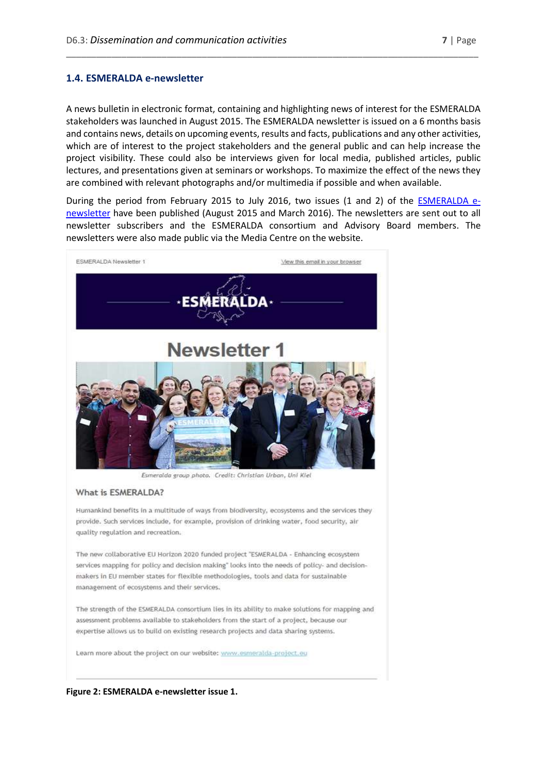#### <span id="page-6-0"></span>**1.4. ESMERALDA e-newsletter**

A news bulletin in electronic format, containing and highlighting news of interest for the ESMERALDA stakeholders was launched in August 2015. The ESMERALDA newsletter is issued on a 6 months basis and contains news, details on upcoming events, results and facts, publications and any other activities, which are of interest to the project stakeholders and the general public and can help increase the project visibility. These could also be interviews given for local media, published articles, public lectures, and presentations given at seminars or workshops. To maximize the effect of the news they are combined with relevant photographs and/or multimedia if possible and when available.

\_\_\_\_\_\_\_\_\_\_\_\_\_\_\_\_\_\_\_\_\_\_\_\_\_\_\_\_\_\_\_\_\_\_\_\_\_\_\_\_\_\_\_\_\_\_\_\_\_\_\_\_\_\_\_\_\_\_\_\_\_\_\_\_\_\_\_\_\_\_\_\_\_\_\_\_\_\_\_\_\_\_

During the period from February 2015 to July 2016, two issues (1 and 2) of the **ESMERALDA** e[newsletter](http://www.esmeralda-project.eu/media/center/11838) have been published (August 2015 and March 2016). The newsletters are sent out to all newsletter subscribers and the ESMERALDA consortium and Advisory Board members. The newsletters were also made public via the Media Centre on the website.



Esmeralda group photo. Credit: Christian Urban, Uni Kiel

#### What is ESMERALDA?

Humankind benefits in a multitude of ways from biodiversity, ecosystems and the services they provide. Such services include, for example, provision of drinking water, food security, air quality regulation and recreation.

The new collaborative EU Horizon 2020 funded project "ESMERALDA - Enhancing ecosystem services mapping for policy and decision making" looks into the needs of policy- and decisionmakers in EU member states for flexible methodologies, tools and data for sustainable management of ecosystems and their services.

The strength of the ESMERALDA consortium lies in its ability to make solutions for mapping and assessment problems available to stakeholders from the start of a project, because our expertise allows us to build on existing research projects and data sharing systems.

Learn more about the project on our website: www.esmeralda-project.eu

**Figure 2: ESMERALDA e-newsletter issue 1.**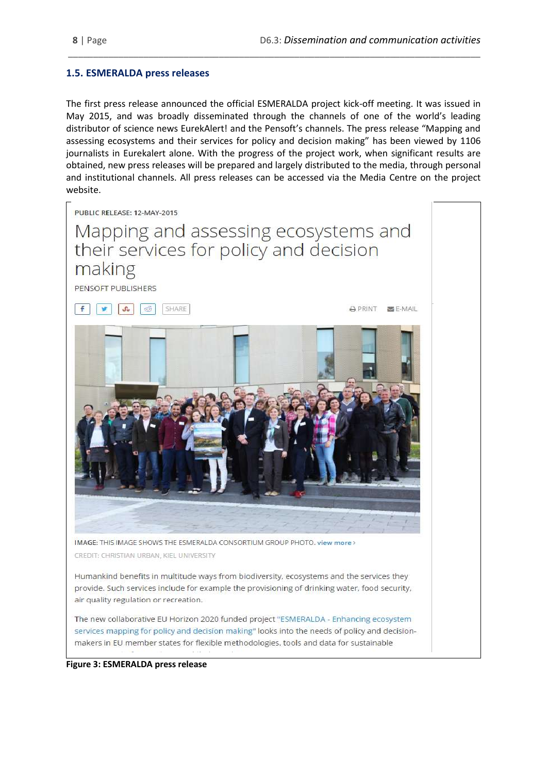#### <span id="page-7-0"></span>**1.5. ESMERALDA press releases**

The first press release announced the official ESMERALDA project kick-off meeting. It was issued in May 2015, and was broadly disseminated through the channels of one of the world's leading distributor of science news EurekAlert! and the Pensoft's channels. The press release "Mapping and assessing ecosystems and their services for policy and decision making" has been viewed by 1106 journalists in Eurekalert alone. With the progress of the project work, when significant results are obtained, new press releases will be prepared and largely distributed to the media, through personal and institutional channels. All press releases can be accessed via the Media Centre on the project website.

\_\_\_\_\_\_\_\_\_\_\_\_\_\_\_\_\_\_\_\_\_\_\_\_\_\_\_\_\_\_\_\_\_\_\_\_\_\_\_\_\_\_\_\_\_\_\_\_\_\_\_\_\_\_\_\_\_\_\_\_\_\_\_\_\_\_\_\_\_\_\_\_\_\_\_\_\_\_\_\_\_\_



**Figure 3: ESMERALDA press release**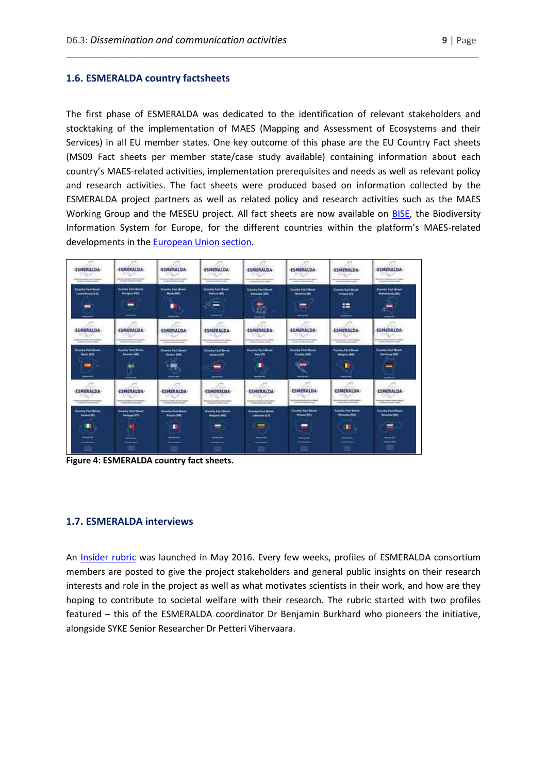#### <span id="page-8-0"></span>**1.6. ESMERALDA country factsheets**

The first phase of ESMERALDA was dedicated to the identification of relevant stakeholders and stocktaking of the implementation of MAES (Mapping and Assessment of Ecosystems and their Services) in all EU member states. One key outcome of this phase are the EU Country Fact sheets (MS09 Fact sheets per member state/case study available) containing information about each country's MAES-related activities, implementation prerequisites and needs as well as relevant policy and research activities. The fact sheets were produced based on information collected by the ESMERALDA project partners as well as related policy and research activities such as the MAES Working Group and the MESEU project. All fact sheets are now available on [BISE,](http://biodiversity.europa.eu/) the Biodiversity Information System for Europe, for the different countries within the platform's MAES-related developments in th[e European Union section.](http://biodiversity.europa.eu/maes/maes_countries)

\_\_\_\_\_\_\_\_\_\_\_\_\_\_\_\_\_\_\_\_\_\_\_\_\_\_\_\_\_\_\_\_\_\_\_\_\_\_\_\_\_\_\_\_\_\_\_\_\_\_\_\_\_\_\_\_\_\_\_\_\_\_\_\_\_\_\_\_\_\_\_\_\_\_\_\_\_\_\_\_\_\_

| <b>ESMERALDA-</b><br>25.77<br><b>Bratis Co. Co. Address comment and company</b><br><b>Brown and Service Council</b> | <b>ESMERALOA</b><br><b><i>CONT</i></b><br><b>Consider American Architectural</b><br>to this stress for class.  | <b>ESMERALDA-</b><br><b>BUC</b><br><b>Shortland Artistical Association and a</b><br>to call the factor county. | <b>ESMERALDA-</b><br><b>YEAR</b><br><b>British &amp; Anderson Hermiterial Tra</b><br><b>Scott College Ave</b>            | <b>SALES</b><br><b>ESMERALDA-</b><br><b>DALP</b><br><b>Northern Street Ave - Northern Frankrick</b><br>Analytic chief from the com- | <b>ESHERALDA-</b><br>早気戸<br>Manufacturers and the content of the<br>standard colorador results. | <b>ESMERALDA-</b><br><b>THEM</b><br><b>Bracklocks constructions</b><br><b>Bookley All Hollan and</b>        | <b>ESMERALDA-</b><br>FINGH<br>discuss a column consumer relative<br><b>Brackler and Berlins referee</b>             |
|---------------------------------------------------------------------------------------------------------------------|----------------------------------------------------------------------------------------------------------------|----------------------------------------------------------------------------------------------------------------|--------------------------------------------------------------------------------------------------------------------------|-------------------------------------------------------------------------------------------------------------------------------------|-------------------------------------------------------------------------------------------------|-------------------------------------------------------------------------------------------------------------|---------------------------------------------------------------------------------------------------------------------|
| Country Fact Street<br><b>Linemanny S.IA</b>                                                                        | <b>Country Fact Month</b><br><b>Hungary 953</b><br>$- -$                                                       | County Fact Sheet<br>Mallie Stift<br>---                                                                       | <b>Country Fair Street</b><br>Educat #111<br><b>COLLEGE</b><br>$-$<br>-<br>--                                            | <b>Claimby Post Street</b><br>Democrats DAG                                                                                         | Climaty Fast News<br><b>Seconds INC</b><br>-<br>-<br>----                                       | <b>County Rach Shoot</b><br><b>FIRMLES</b><br>≔<br>--                                                       | Course Fail Stage<br><b>Reflectionals PA !</b>                                                                      |
| F. are are<br><b>ESMERALDA</b><br>95629<br><b>CARD AND COMPANY</b><br>the state state and the change                | <b>ESMERALDA-</b><br><b>CTIGLAR</b><br>and dealers and a<br>to state the decoration of                         | Karn.<br><b>ESMERALDA-</b><br>中国民<br><b><i>CARD COMPANY AND INCOME.</i></b><br>No principal and advertising to | <b>ESMERALDA-</b><br><b>STATISTICS</b><br><b>Senior Process and American Professor</b><br>the party start development of | j19.<br>and the<br><b>ESMERALDA-</b><br><b>PAGE</b><br>ning to special climate relation<br>the policy can chance make a             | <b>ESMERALDA-</b><br>マリション<br>the first city is a simple state.                                 | ja 1<br><b>ESMERALDA</b><br>PER<br>the city is a change of the con-<br>We will not the state for a state of | <b>ESHERALDA-</b><br>Sigur<br><b>Antique Collection Services Countries</b><br><b>Scottist and American controls</b> |
| Country Fact Street<br><b>Seat AD</b><br>-                                                                          | County Fast Sheet<br><b>Seattle (SE)</b><br>÷<br>œ                                                             | <b>Country Ford Sheet</b><br><b>Small</b> ERS<br>47<br>ι∓≫<br><b>TRIAL</b><br>---                              | <b>Country Ford Street</b><br><b>Museus (AT)</b><br><b>Service</b>                                                       | Country Paul Sheets<br><b>Bally UTI</b><br>٠<br>---                                                                                 | <b>County Fact Shows</b><br><b>CHARA RMS</b><br>$\sim$<br>---                                   | County Fiel Street<br><b>Brighton (BB)</b><br>--                                                            | Country Fact Street<br><b>Series 191</b><br>かいせ<br>-                                                                |
| <b>ESMERALDA-</b><br>DISCO.<br><b>Schemen Architects Contact Installed</b><br>the later of the bank of the late     | $- -$<br><b>ESMERALDA-</b><br><b>PAGE</b><br><b>Security of the company's</b><br><b>Bridge All House Law 2</b> | <b>ESMERALDA-</b><br><b>COLOR:</b><br>Microsoft & Michigan Microsoft Broadway<br>ALLAWAY AND ARRESTS FOR DE-   | <b>ESMERALDA-</b><br><b>GIVE AN</b><br>Stewarte Avenue, convey manual<br><b>HEARLOCKHANG</b>                             | <b>ESMERALDA-</b><br>Old Sec.<br>automotive program in the first continues<br>to policyloche controlled to                          | <b>ESMERALDA</b><br><b>THINK IS A RAILEY STATE CARDS</b><br>To shake and dealers manag-         | <b>ESNERALDA</b><br>100000<br><b>CARL CARL CARDS</b><br>to this or dealer child.                            | $- - -$<br><b>ESMERALDA</b><br>Dig or<br><b>Section Products and Content Content</b><br>to the international        |
| <b>Country Fact Blood</b><br><b>Included JSTS</b><br>۰<br>----                                                      | Country Vand Drawn<br><b>Particular (FT)</b><br>--                                                             | <b>County Foot State</b><br><b>France 295</b><br>٠<br>---                                                      | <b>Country Fact Shoot</b><br><b>Bulgaria IBG</b><br>=<br>---                                                             | <b>Country Ford Street</b><br><b>Littlewood (I)</b><br>---                                                                          | <b>Executive Fact Shown</b><br>Project Ph.)<br>-<br>---                                         | <b>Country Fact Shaet</b><br><b><i><u>Banania (M)</u></i></b><br>п<br>----                                  | <b>Country Fact Siness</b><br><b>Brookly</b> 2541<br>╾<br>---                                                       |
|                                                                                                                     |                                                                                                                | ---<br>ומי                                                                                                     | ---                                                                                                                      |                                                                                                                                     |                                                                                                 |                                                                                                             | ---                                                                                                                 |

**Figure 4: ESMERALDA country fact sheets.**

#### <span id="page-8-1"></span>**1.7. ESMERALDA interviews**

An [Insider rubric](http://esmeralda-project.eu/showpage.php?storyid=13694) was launched in May 2016. Every few weeks, profiles of ESMERALDA consortium members are posted to give the project stakeholders and general public insights on their research interests and role in the project as well as what motivates scientists in their work, and how are they hoping to contribute to societal welfare with their research. The rubric started with two profiles featured – this of the ESMERALDA coordinator Dr Benjamin Burkhard who pioneers the initiative, alongside SYKE Senior Researcher Dr Petteri Vihervaara.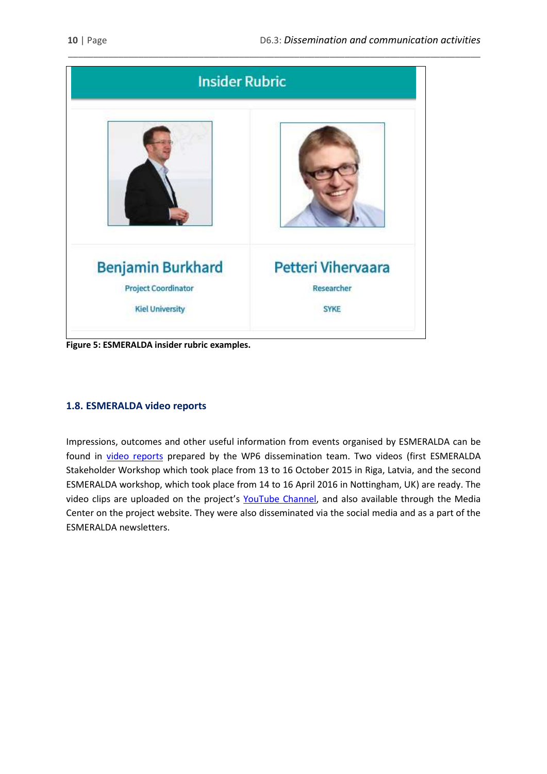

\_\_\_\_\_\_\_\_\_\_\_\_\_\_\_\_\_\_\_\_\_\_\_\_\_\_\_\_\_\_\_\_\_\_\_\_\_\_\_\_\_\_\_\_\_\_\_\_\_\_\_\_\_\_\_\_\_\_\_\_\_\_\_\_\_\_\_\_\_\_\_\_\_\_\_\_\_\_\_\_\_\_

**Figure 5: ESMERALDA insider rubric examples.**

### <span id="page-9-0"></span>**1.8. ESMERALDA video reports**

Impressions, outcomes and other useful information from events organised by ESMERALDA can be found in [video reports](http://www.esmeralda-project.eu/media/center/13387) prepared by the WP6 dissemination team. Two videos (first ESMERALDA Stakeholder Workshop which took place from 13 to 16 October 2015 in Riga, Latvia, and the second ESMERALDA workshop, which took place from 14 to 16 April 2016 in Nottingham, UK) are ready. The video clips are uploaded on the project's [YouTube Channel,](https://www.youtube.com/channel/UCYccq43qlhz_-5LRyWblpSA) and also available through the Media Center on the project website. They were also disseminated via the social media and as a part of the ESMERALDA newsletters.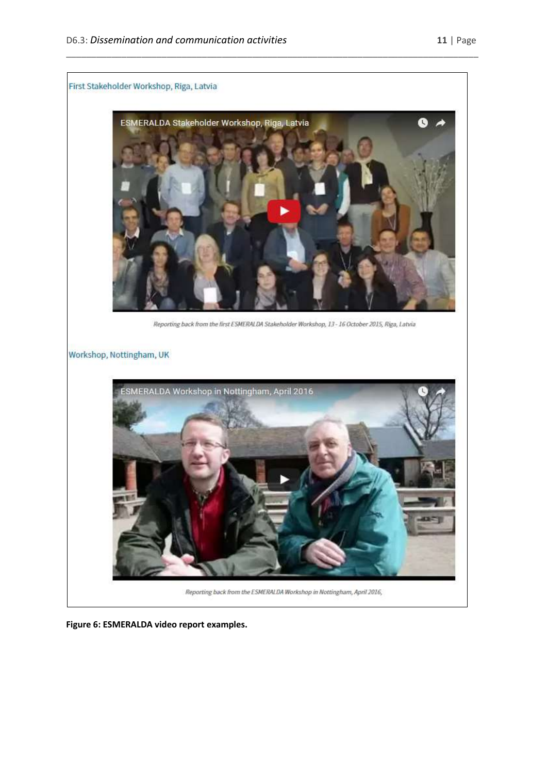

**Figure 6: ESMERALDA video report examples.**